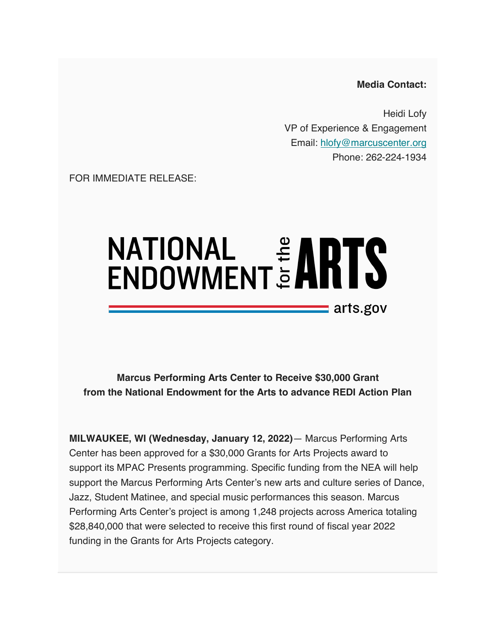**Media Contact:**

Heidi Lofy VP of Experience & Engagement Email: hlofy@marcuscenter.org Phone: 262-224-1934

FOR IMMEDIATE RELEASE:

## $\equiv$  arts.gov

**Marcus Performing Arts Center to Receive \$30,000 Grant from the National Endowment for the Arts to advance REDI Action Plan**

**MILWAUKEE, WI (Wednesday, January 12, 2022)**— Marcus Performing Arts Center has been approved for a \$30,000 Grants for Arts Projects award to support its MPAC Presents programming. Specific funding from the NEA will help support the Marcus Performing Arts Center's new arts and culture series of Dance, Jazz, Student Matinee, and special music performances this season. Marcus Performing Arts Center's project is among 1,248 projects across America totaling \$28,840,000 that were selected to receive this first round of fiscal year 2022 funding in the Grants for Arts Projects category.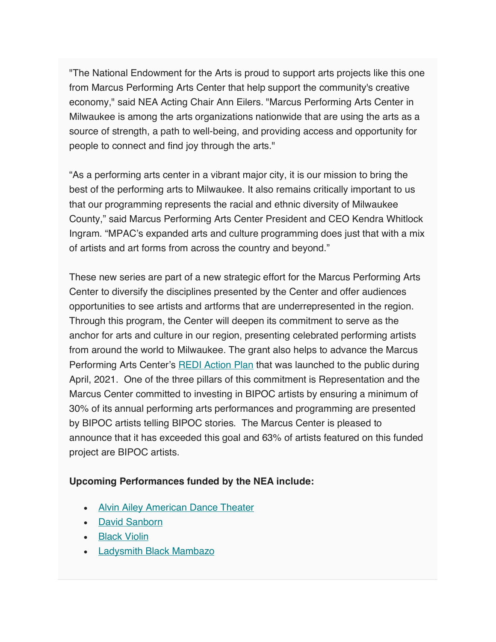"The National Endowment for the Arts is proud to support arts projects like this one from Marcus Performing Arts Center that help support the community's creative economy," said NEA Acting Chair Ann Eilers. "Marcus Performing Arts Center in Milwaukee is among the arts organizations nationwide that are using the arts as a source of strength, a path to well-being, and providing access and opportunity for people to connect and find joy through the arts."

"As a performing arts center in a vibrant major city, it is our mission to bring the best of the performing arts to Milwaukee. It also remains critically important to us that our programming represents the racial and ethnic diversity of Milwaukee County," said Marcus Performing Arts Center President and CEO Kendra Whitlock Ingram. "MPAC's expanded arts and culture programming does just that with a mix of artists and art forms from across the country and beyond."

These new series are part of a new strategic effort for the Marcus Performing Arts Center to diversify the disciplines presented by the Center and offer audiences opportunities to see artists and artforms that are underrepresented in the region. Through this program, the Center will deepen its commitment to serve as the anchor for arts and culture in our region, presenting celebrated performing artists from around the world to Milwaukee. The grant also helps to advance the Marcus Performing Arts Center's REDI Action Plan that was launched to the public during April, 2021. One of the three pillars of this commitment is Representation and the Marcus Center committed to investing in BIPOC artists by ensuring a minimum of 30% of its annual performing arts performances and programming are presented by BIPOC artists telling BIPOC stories. The Marcus Center is pleased to announce that it has exceeded this goal and 63% of artists featured on this funded project are BIPOC artists.

## **Upcoming Performances funded by the NEA include:**

- Alvin Ailey American Dance Theater
- David Sanborn
- Black Violin
- Ladysmith Black Mambazo